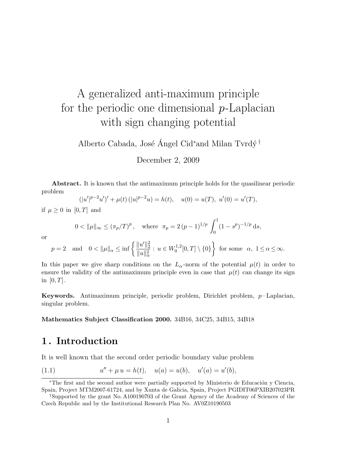# A generalized anti-maximum principle for the periodic one dimensional  $p$ -Laplacian with sign changing potential

Alberto Cabada, José Ángel Cid<sup>\*</sup>and Milan Tvrdý<sup>†</sup>

December 2, 2009

Abstract. It is known that the antimaximum principle holds for the quasilinear periodic problem

$$
(|u'|^{p-2}u')' + \mu(t) (|u|^{p-2}u) = h(t), \quad u(0) = u(T), \ u'(0) = u'(T),
$$

if  $\mu \geq 0$  in [0, T] and

$$
0 < ||\mu||_{\infty} \le (\pi_p/T)^p, \quad \text{where} \quad \pi_p = 2(p-1)^{1/p} \int_0^1 (1-s^p)^{-1/p} \, \mathrm{d}s,
$$

or

$$
p = 2
$$
 and  $0 < ||\mu||_{\alpha} \le \inf \left\{ \frac{||u'||_2^2}{||u||_{\alpha}^2} : u \in W_0^{1,2}[0,T] \setminus \{0\} \right\}$  for some  $\alpha$ ,  $1 \le \alpha \le \infty$ .

In this paper we give sharp conditions on the  $L_{\alpha}$ -norm of the potential  $\mu(t)$  in order to ensure the validity of the antimaximum principle even in case that  $\mu(t)$  can change its sign in  $[0, T]$ .

Keywords. Antimaximum principle, periodic problem, Dirichlet problem,  $p-\text{Laplacian}$ , singular problem.

### Mathematics Subject Classification 2000. 34B16, 34C25, 34B15, 34B18

# 1 . Introduction

It is well known that the second order periodic boundary value problem

<span id="page-0-0"></span>(1.1) 
$$
u'' + \mu u = h(t), \quad u(a) = u(b), \quad u'(a) = u'(b),
$$

<sup>\*</sup>The first and the second author were partially supported by Ministerio de Educación y Ciencia, Spain, Project MTM2007-61724, and by Xunta de Galicia, Spain, Project PGIDIT06PXIB207023PR

<sup>†</sup>Supported by the grant No. A100190703 of the Grant Agency of the Academy of Sciences of the Czech Republic and by the Institutional Research Plan No. AV0Z10190503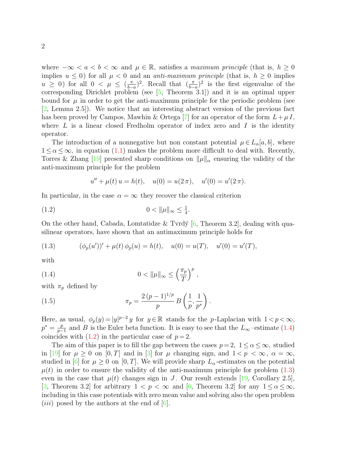where  $-\infty < a < b < \infty$  and  $\mu \in \mathbb{R}$ , satisfies a maximum principle (that is,  $h \geq 0$ implies  $u \leq 0$ ) for all  $\mu < 0$  and an *anti-maximum principle* (that is,  $h \geq 0$  implies  $u \geq 0$ ) for all  $0 < \mu \leq (\frac{\pi}{b-1})$  $\frac{\pi}{b-a}$ )<sup>2</sup>. Recall that  $\left(\frac{\pi}{b-a}\right)^2$  is the first eigenvalue of the corresponding Dirichlet problem (see [\[5,](#page-16-0) Theorem 3.1]) and it is an optimal upper bound for  $\mu$  in order to get the anti-maximum principle for the periodic problem (see [\[2,](#page-16-1) Lemma 2.5]). We notice that an interesting abstract version of the previous fact has been proved by Campos, Mawhin & Ortega [\[7\]](#page-16-2) for an operator of the form  $L+\mu I$ , where  $L$  is a linear closed Fredholm operator of index zero and  $I$  is the identity operator.

The introduction of a nonnegative but non constant potential  $\mu \in L_{\alpha}[a, b]$ , where  $1 \leq \alpha \leq \infty$ , in equation [\(1.1\)](#page-0-0) makes the problem more difficult to deal with. Recently, Torres & Zhang [\[19\]](#page-17-0) presented sharp conditions on  $\|\mu\|_{\alpha}$  ensuring the validity of the anti-maximum principle for the problem

<span id="page-1-1"></span>
$$
u'' + \mu(t) u = h(t), \quad u(0) = u(2\pi), \quad u'(0) = u'(2\pi).
$$

In particular, in the case  $\alpha = \infty$  they recover the classical criterion

(1.2) 
$$
0 < \|\mu\|_{\infty} \leq \frac{1}{4}.
$$

On the other hand, Cabada, Lomtatidze & Tvrdý  $[6,$  Theorem 3.2, dealing with quasilinear operators, have shown that an antimaximum principle holds for

<span id="page-1-2"></span>(1.3) 
$$
(\phi_p(u'))' + \mu(t)\phi_p(u) = h(t), \quad u(0) = u(T), \quad u'(0) = u'(T),
$$

with

<span id="page-1-0"></span>(1.4) 
$$
0 < \|\mu\|_{\infty} \le \left(\frac{\pi_p}{T}\right)^p,
$$

with  $\pi_p$  defined by

<span id="page-1-3"></span>(1.5) 
$$
\pi_p = \frac{2 (p-1)^{1/p}}{p} B\left(\frac{1}{p}, \frac{1}{p^*}\right).
$$

Here, as usual,  $\phi_p(y) = |y|^{p-2} y$  for  $y \in \mathbb{R}$  stands for the p-Laplacian with  $1 < p < \infty$ ,  $p^* = \frac{p}{n}$  $\frac{p}{p-1}$  and B is the Euler beta function. It is easy to see that the L<sub>∞</sub>-estimate [\(1.4\)](#page-1-0) coincides with  $(1.2)$  in the particular case of  $p=2$ .

The aim of this paper is to fill the gap between the cases  $p=2, 1 \leq \alpha \leq \infty$ , studied in [\[19\]](#page-17-0) for  $\mu \geq 0$  on [0, T] and in [\[3\]](#page-16-4) for  $\mu$  changing sign, and  $1 < p < \infty$ ,  $\alpha = \infty$ , studied in [\[6\]](#page-16-3) for  $\mu \geq 0$  on [0, T]. We will provide sharp  $L_{\alpha}$ -estimates on the potential  $\mu(t)$  in order to ensure the validity of the anti-maximum principle for problem  $(1.3)$ even in the case that  $\mu(t)$  changes sign in J. Our result extends [\[19,](#page-17-0) Corollary 2.5], [\[3,](#page-16-4) Theorem 3.2] for arbitrary  $1 < p < \infty$  and [\[6,](#page-16-3) Theorem 3.2] for any  $1 < \alpha < \infty$ , including in this case potentials with zero mean value and solving also the open problem (*iii*) posed by the authors at the end of  $[6]$ .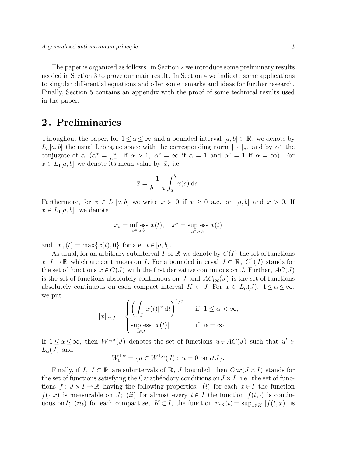The paper is organized as follows: in Section 2 we introduce some preliminary results needed in Section 3 to prove our main result. In Section 4 we indicate some applications to singular differential equations and offer some remarks and ideas for further research. Finally, Section 5 contains an appendix with the proof of some technical results used in the paper.

### 2 . Preliminaries

Throughout the paper, for  $1 \le \alpha \le \infty$  and a bounded interval  $[a, b] \subset \mathbb{R}$ , we denote by  $L_{\alpha}[a, b]$  the usual Lebesgue space with the corresponding norm  $\|\cdot\|_{\alpha}$ , and by  $\alpha^*$  the conjugate of  $\alpha$  ( $\alpha^* = \frac{\alpha}{\alpha}$ )  $\frac{\alpha}{\alpha-1}$  if  $\alpha > 1$ ,  $\alpha^* = \infty$  if  $\alpha = 1$  and  $\alpha^* = 1$  if  $\alpha = \infty$ ). For  $x \in L_1[a, b]$  we denote its mean value by  $\bar{x}$ , i.e.

$$
\bar{x} = \frac{1}{b-a} \int_a^b x(s) \, \mathrm{d}s.
$$

Furthermore, for  $x \in L_1[a, b]$  we write  $x \succ 0$  if  $x \geq 0$  a.e. on  $[a, b]$  and  $\bar{x} > 0$ . If  $x \in L_1[a, b],$  we denote

$$
x_* = \inf_{t \in [a,b]} \operatorname{ess} x(t), \quad x^* = \sup_{t \in [a,b]} \operatorname{ess} x(t)
$$

and  $x_+(t) = \max\{x(t), 0\}$  for a.e.  $t \in [a, b]$ .

As usual, for an arbitrary subinterval I of  $\mathbb R$  we denote by  $C(I)$  the set of functions  $x: I \to \mathbb{R}$  which are continuous on I. For a bounded interval  $J \subset \mathbb{R}$ ,  $C^1(J)$  stands for the set of functions  $x \in C(J)$  with the first derivative continuous on J. Further,  $AC(J)$ is the set of functions absolutely continuous on J and  $AC_{loc}(J)$  is the set of functions absolutely continuous on each compact interval  $K \subset J$ . For  $x \in L_{\alpha}(J)$ ,  $1 \leq \alpha \leq \infty$ , we put

$$
||x||_{\alpha,J} = \begin{cases} \left( \int_J |x(t)|^{\alpha} dt \right)^{1/\alpha} & \text{if } 1 \le \alpha < \infty, \\ \sup_{t \in J} \text{ess } |x(t)| & \text{if } \alpha = \infty. \end{cases}
$$

If  $1 \leq \alpha \leq \infty$ , then  $W^{1,\alpha}(J)$  denotes the set of functions  $u \in AC(J)$  such that  $u' \in$  $L_{\alpha}(J)$  and

$$
W_0^{1,\alpha} = \{ u \in W^{1,\alpha}(J) : u = 0 \text{ on } \partial J \}.
$$

Finally, if  $I, J \subset \mathbb{R}$  are subintervals of  $\mathbb{R}, J$  bounded, then  $Car(J \times I)$  stands for the set of functions satisfying the Carathéodory conditions on  $J \times I$ , i.e. the set of functions  $f: J \times I \to \mathbb{R}$  having the following properties: (i) for each  $x \in I$  the function  $f(\cdot, x)$  is measurable on J; (ii) for almost every  $t \in J$  the function  $f(t, \cdot)$  is continuous on I; (iii) for each compact set  $K \subset I$ , the function  $m_K(t) = \sup_{x \in K} |f(t, x)|$  is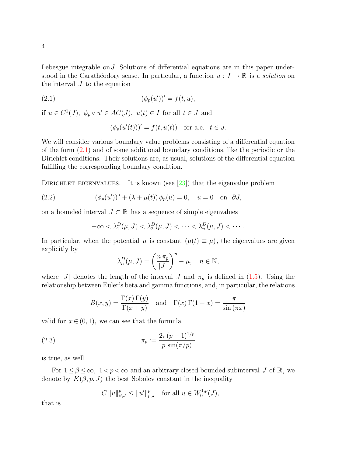Lebesgue integrable on J. Solutions of differential equations are in this paper understood in the Carathéodory sense. In particular, a function  $u : J \to \mathbb{R}$  is a solution on the interval  $J$  to the equation

(2.1) 
$$
(\phi_p(u'))' = f(t, u),
$$

if  $u \in C^1(J)$ ,  $\phi_p \circ u' \in AC(J)$ ,  $u(t) \in I$  for all  $t \in J$  and

<span id="page-3-0"></span>
$$
(\phi_p(u'(t)))' = f(t, u(t)) \text{ for a.e. } t \in J.
$$

We will consider various boundary value problems consisting of a differential equation of the form [\(2.1\)](#page-3-0) and of some additional boundary conditions, like the periodic or the Dirichlet conditions. Their solutions are, as usual, solutions of the differential equation fulfilling the corresponding boundary condition.

DIRICHLET EIGENVALUES. It is known (see [\[23\]](#page-17-1)) that the eigenvalue problem

(2.2) 
$$
(\phi_p(u'))' + (\lambda + \mu(t)) \phi_p(u) = 0, \quad u = 0 \text{ on } \partial J,
$$

on a bounded interval  $J \subset \mathbb{R}$  has a sequence of simple eigenvalues

$$
-\infty < \lambda_1^D(\mu, J) < \lambda_2^D(\mu, J) < \cdots < \lambda_n^D(\mu, J) < \cdots.
$$

In particular, when the potential  $\mu$  is constant  $(\mu(t) \equiv \mu)$ , the eigenvalues are given explicitly by

$$
\lambda_n^D(\mu, J) = \left(\frac{n \pi_p}{|J|}\right)^p - \mu, \quad n \in \mathbb{N},
$$

where |J| denotes the length of the interval J and  $\pi_p$  is defined in [\(1.5\)](#page-1-3). Using the relationship between Euler's beta and gamma functions, and, in particular, the relations

$$
B(x, y) = \frac{\Gamma(x) \Gamma(y)}{\Gamma(x + y)}
$$
 and  $\Gamma(x) \Gamma(1 - x) = \frac{\pi}{\sin(\pi x)}$ 

valid for  $x \in (0, 1)$ , we can see that the formula

(2.3) 
$$
\pi_p := \frac{2\pi (p-1)^{1/p}}{p \sin(\pi/p)}
$$

is true, as well.

For  $1 \leq \beta \leq \infty$ ,  $1 < p < \infty$  and an arbitrary closed bounded subinterval J of R, we denote by  $K(\beta, p, J)$  the best Sobolev constant in the inequality

$$
C\,\|u\|_{\beta,J}^p\leq\|u'\|_{p,J}^p\quad\text{for all }u\in W_0^{1,p}(J),
$$

that is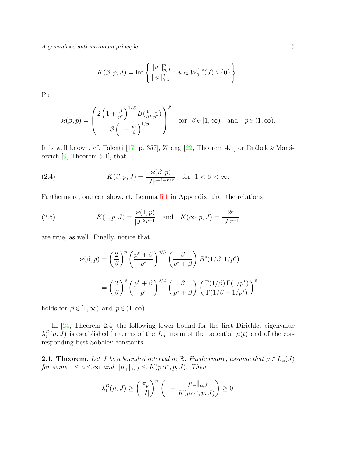A generalized anti-maximum principle 5

$$
K(\beta, p, J) = \inf \left\{ \frac{\|u'\|_{p,J}^p}{\|u\|_{\beta,J}^p} : u \in W_0^{1,p}(J) \setminus \{0\} \right\}.
$$

Put

$$
\varkappa(\beta,p) = \left(\frac{2\left(1+\frac{\beta}{p^*}\right)^{1/\beta}B(\frac{1}{\beta},\frac{1}{p^*})}{\beta\left(1+\frac{p^*}{\beta}\right)^{1/p}}\right)^p \quad \text{for} \quad \beta \in [1,\infty) \quad \text{and} \quad p \in (1,\infty).
$$

It is well known, cf. Talenti [\[17,](#page-17-2) p. 357], Zhang [\[22,](#page-17-3) Theorem 4.1] or Drábek & Manásevich  $[9,$  Theorem 5.1, that

<span id="page-4-2"></span>(2.4) 
$$
K(\beta, p, J) = \frac{\varkappa(\beta, p)}{|J|^{p-1+p/\beta}} \text{ for } 1 < \beta < \infty.
$$

Furthermore, one can show, cf. Lemma [5.1](#page-13-0) in Appendix, that the relations

(2.5) 
$$
K(1, p, J) = \frac{\varkappa(1, p)}{|J|^{2p-1}} \text{ and } K(\infty, p, J) = \frac{2^p}{|J|^{p-1}}
$$

are true, as well. Finally, notice that

<span id="page-4-1"></span>
$$
\varkappa(\beta, p) = \left(\frac{2}{\beta}\right)^p \left(\frac{p^* + \beta}{p^*}\right)^{p/\beta} \left(\frac{\beta}{p^* + \beta}\right) B^p(1/\beta, 1/p^*)
$$

$$
= \left(\frac{2}{\beta}\right)^p \left(\frac{p^* + \beta}{p^*}\right)^{p/\beta} \left(\frac{\beta}{p^* + \beta}\right) \left(\frac{\Gamma(1/\beta)\Gamma(1/p^*)}{\Gamma(1/\beta + 1/p^*)}\right)^p
$$

holds for  $\beta \in [1, \infty)$  and  $p \in (1, \infty)$ .

In [\[24,](#page-17-4) Theorem 2.4] the following lower bound for the first Dirichlet eigenvalue  $\lambda_1^D(\mu, J)$  is established in terms of the L<sub>α</sub>-norm of the potential  $\mu(t)$  and of the corresponding best Sobolev constants.

<span id="page-4-0"></span>**2.1. Theorem.** Let J be a bounded interval in R. Furthermore, assume that  $\mu \in L_{\alpha}(J)$ for some  $1 \leq \alpha \leq \infty$  and  $\|\mu_{+}\|_{\alpha,J} \leq K(p\alpha^*, p, J)$ . Then

$$
\lambda_1^D(\mu, J) \ge \left(\frac{\pi_p}{|J|}\right)^p \left(1 - \frac{\|\mu_+\|_{\alpha, J}}{K(p \alpha^*, p, J)}\right) \ge 0.
$$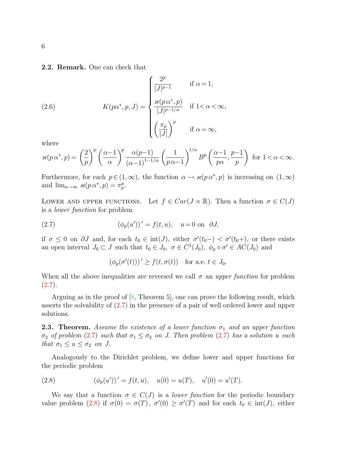2.2. Remark. One can check that

(2.6) 
$$
K(p\alpha^*, p, J) = \begin{cases} \frac{2^p}{|J|^{p-1}} & \text{if } \alpha = 1, \\ \frac{\varkappa(p \alpha^*, p)}{|J|^{p-1/\alpha}} & \text{if } 1 < \alpha < \infty, \\ \left(\frac{\pi_p}{|J|}\right)^p & \text{if } \alpha = \infty, \end{cases}
$$

where

$$
\varkappa(p\,\alpha^*,p) = \left(\frac{2}{p}\right)^p \left(\frac{\alpha-1}{\alpha}\right)^p \frac{\alpha(p-1)}{(\alpha-1)^{1-1/\alpha}} \left(\frac{1}{p\,\alpha-1}\right)^{1/\alpha} B^p\left(\frac{\alpha-1}{p\alpha},\frac{p-1}{p}\right) \text{ for } 1 < \alpha < \infty.
$$

Furthermore, for each  $p \in (1,\infty)$ , the function  $\alpha \to \varkappa(p\alpha^*,p)$  is increasing on  $(1,\infty)$ and  $\lim_{\alpha \to \infty} \varkappa(p \alpha^*, p) = \pi_p^p$ .

LOWER AND UPPER FUNCTIONS. Let  $f \in Car(J \times \mathbb{R})$ . Then a function  $\sigma \in C(J)$ is a lower function for problem

(2.7) 
$$
(\phi_p(u'))' = f(t, u), \quad u = 0 \text{ on } \partial J,
$$

if  $\sigma \leq 0$  on  $\partial J$  and, for each  $t_0 \in \text{int}(J)$ , either  $\sigma'(t_0-) < \sigma'(t_0+)$ , or there exists an open interval  $J_0 \subset J$  such that  $t_0 \in J_0$ ,  $\sigma \in C^1(J_0)$ ,  $\phi_p \circ \sigma' \in AC(J_0)$  and

<span id="page-5-0"></span>
$$
(\phi_p(\sigma'(t)))' \ge f(t, \sigma(t)) \quad \text{for a.e. } t \in J_0.
$$

When all the above inequalities are reversed we call  $\sigma$  an upper function for problem  $(2.7).$  $(2.7).$ 

Arguing as in the proof of  $[8,$  Theorem 5, one can prove the following result, which asserts the solvability of [\(2.7\)](#page-5-0) in the presence of a pair of well ordered lower and upper solutions.

<span id="page-5-2"></span>**2.3. Theorem.** Assume the existence of a lower function  $\sigma_1$  and an upper function σ<sub>2</sub> of problem [\(2](#page-5-0).[7\)](#page-5-0) such that  $σ_1 ≤ σ_2$  on J. Then problem (2.7) has a solution u such that  $\sigma_1 \leq u \leq \sigma_2$  on J.

Analogously to the Dirichlet problem, we define lower and upper functions for the periodic problem

<span id="page-5-1"></span>(2.8) 
$$
(\phi_p(u'))' = f(t, u), \quad u(0) = u(T), \quad u'(0) = u'(T).
$$

We say that a function  $\sigma \in C(J)$  is a *lower function* for the periodic boundary value problem [\(2.8\)](#page-5-1) if  $\sigma(0) = \sigma(T)$ ,  $\sigma'(0) \ge \sigma'(T)$  and for each  $t_0 \in \text{int}(J)$ , either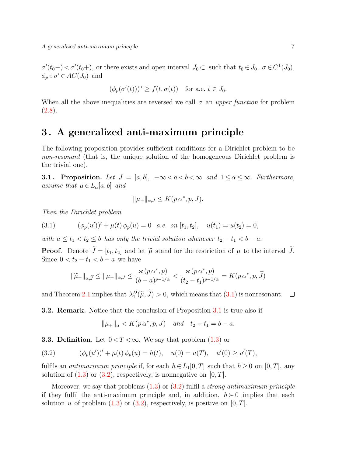$\sigma'(t_0-) < \sigma'(t_0+)$ , or there exists and open interval  $J_0 \subset \text{ such that } t_0 \in J_0, \ \sigma \in C^1(J_0)$ ,  $\phi_p \circ \sigma' \in AC(J_0)$  and

$$
(\phi_p(\sigma'(t)))' \ge f(t, \sigma(t)) \quad \text{for a.e. } t \in J_0.
$$

When all the above inequalities are reversed we call  $\sigma$  an upper function for problem  $(2.8).$  $(2.8).$ 

### 3 . A generalized anti-maximum principle

The following proposition provides sufficient conditions for a Dirichlet problem to be non-resonant (that is, the unique solution of the homogeneous Dirichlet problem is the trivial one).

<span id="page-6-1"></span>**3.1. Proposition.** Let  $J = [a, b]$ ,  $-\infty < a < b < \infty$  and  $1 \le \alpha \le \infty$ . Furthermore, assume that  $\mu \in L_{\alpha}[a, b]$  and

$$
\|\mu_{+}\|_{\alpha,J} \leq K(p\,\alpha^*, p, J).
$$

Then the Dirichlet problem

(3.1) 
$$
(\phi_p(u'))' + \mu(t)\phi_p(u) = 0 \quad a.e. \quad on \ [t_1, t_2], \quad u(t_1) = u(t_2) = 0,
$$

with  $a \le t_1 < t_2 \le b$  has only the trivial solution whenever  $t_2 - t_1 < b - a$ .

**Proof.** Denote  $\widetilde{J} = [t_1, t_2]$  and let  $\widetilde{\mu}$  stand for the restriction of  $\mu$  to the interval  $\widetilde{J}$ . Since  $0 < t_2 - t_1 < b - a$  we have

<span id="page-6-0"></span>
$$
t_2 - t_1 < b - a \text{ we have}
$$
\n
$$
\|\widetilde{\mu}_+\|_{\alpha, \widetilde{J}} \le \|\mu_+\|_{\alpha, J} \le \frac{\varkappa(p\,\alpha^*, p)}{(b - a)^{p - 1/\alpha}} < \frac{\varkappa(p\,\alpha^*, p)}{(t_2 - t_1)^{p - 1/\alpha}} = K(p\,\alpha^*, p, \widetilde{J})
$$

and Theorem [2.1](#page-4-0) implies that  $\lambda_1^D(\tilde{\mu}, \tilde{J}) > 0$ , which means that  $(3.1)$  is nonresonant.

3.2. Remark. Notice that the conclusion of Proposition [3.1](#page-6-1) is true also if

<span id="page-6-2"></span>
$$
\|\mu_+\|_{\alpha} < K(p\,\alpha^*, p, J) \quad \text{and} \quad t_2 - t_1 = b - a.
$$

**3.3. Definition.** Let  $0 < T < \infty$ . We say that problem [\(1.3\)](#page-1-2) or

(3.2) 
$$
(\phi_p(u'))' + \mu(t)\phi_p(u) = h(t), \quad u(0) = u(T), \quad u'(0) \ge u'(T),
$$

fulfils an *antimaximum principle* if, for each  $h \in L_1[0,T]$  such that  $h \geq 0$  on  $[0,T]$ , any solution of  $(1.3)$  or  $(3.2)$ , respectively, is nonnegative on  $[0, T]$ .

Moreover, we say that problems  $(1.3)$  or  $(3.2)$  fulfil a *strong antimaximum principle* if they fulfil the anti-maximum principle and, in addition,  $h \geq 0$  implies that each solution u of problem  $(1.3)$  or  $(3.2)$ , respectively, is positive on  $[0, T]$ .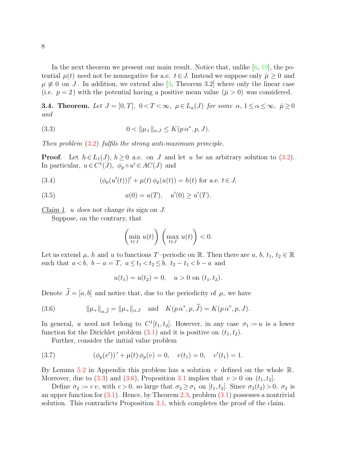In the next theorem we present our main result. Notice that, unlike  $[6, 19]$  $[6, 19]$ , the potential  $\mu(t)$  need not be nonnegative for a.e.  $t \in J$ . Instead we suppose only  $\bar{\mu} \geq 0$  and  $\mu \neq 0$  on J. In addition, we extend also [\[3,](#page-16-4) Theorem 3.2] where only the linear case (i.e.  $p = 2$ ) with the potential having a positive mean value  $(\bar{\mu} > 0)$  was considered.

<span id="page-7-4"></span>**3.4. Theorem.** Let  $J = [0, T]$ ,  $0 < T < \infty$ ,  $\mu \in L_{\alpha}(J)$  for some  $\alpha$ ,  $1 \le \alpha \le \infty$ ,  $\bar{\mu} \ge 0$ and

<span id="page-7-0"></span>(3.3) 
$$
0 < ||\mu_+||_{\alpha,J} \leq K(p \alpha^*, p, J).
$$

Then problem (3.[2\)](#page-6-2) fulfils the strong anti-maximum principle.

**Proof.** Let  $h \in L_1(J)$ ,  $h \geq 0$  a.e. on J and let u be an arbitrary solution to [\(3.2\)](#page-6-2). In particular,  $u \in C^1(J)$ ,  $\phi_p \circ u' \in AC(J)$  and

<span id="page-7-2"></span>(3.4) 
$$
(\phi_p(u'(t)))' + \mu(t)\,\phi_p(u(t)) = h(t) \text{ for a.e. } t \in J,
$$

<span id="page-7-3"></span>(3.5) 
$$
u(0) = u(T), \quad u'(0) \ge u'(T).
$$

Claim 1. u does not change its sign on J.

Suppose, on the contrary, that

$$
\left(\min_{t\in J} u(t)\right)\left(\max_{t\in J} u(t)\right) < 0.
$$

Let us extend  $\mu$ , h and u to functions T-periodic on R. Then there are  $a, b, t_1, t_2 \in \mathbb{R}$ such that  $a < b$ ,  $b - a = T$ ,  $a \le t_1 < t_2 \le b$ ,  $t_2 - t_1 < b - a$  and

<span id="page-7-1"></span>
$$
u(t_1) = u(t_2) = 0, \quad u > 0 \text{ on } (t_1, t_2).
$$

Denote  $J = [a, b]$  and notice that, due to the periodicity of  $\mu$ , we have Denote  $\widetilde{J} = [a, b]$  and notice that, due to the per<br>(3.6)  $\|\mu_+\|_{\alpha,\widetilde{J}} = \|\mu_+\|_{\alpha,J}$  and  $K(p \alpha^*$ 

(3.6) 
$$
\|\mu_{+}\|_{\alpha,\tilde{J}} = \|\mu_{+}\|_{\alpha,J} \text{ and } K(p \alpha^*, p, \tilde{J}) = K(p \alpha^*, p, J).
$$

In general, u need not belong to  $C^1[t_1, t_2]$ . However, in any case  $\sigma_1 := u$  is a lower function for the Dirichlet problem  $(3.1)$  and it is positive on  $(t_1, t_2)$ .

Further, consider the initial value problem

(3.7) 
$$
(\phi_p(v'))' + \mu(t)\phi_p(v) = 0, \quad v(t_1) = 0, \quad v'(t_1) = 1.
$$

By Lemma [5.2](#page-14-0) in Appendix this problem has a solution  $v$  defined on the whole  $\mathbb{R}$ . Moreover, due to [\(3.3\)](#page-7-0) and [\(3.6\)](#page-7-1), Proposition [3.1](#page-6-1) implies that  $v > 0$  on  $(t_1, t_2]$ .

Define  $\sigma_2 := cv$ , with  $c > 0$ , so large that  $\sigma_2 \ge \sigma_1$  on  $[t_1, t_2]$ . Since  $\sigma_2(t_2) > 0$ ,  $\sigma_2$  is an upper function for  $(3.1)$ . Hence, by Theorem [2.3,](#page-5-2) problem  $(3.1)$  possesses a nontrivial solution. This contradicts Proposition [3.1,](#page-6-1) which completes the proof of the claim.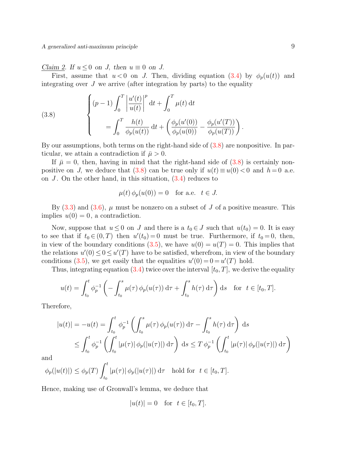A generalized anti-maximum principle 9

Claim 2. If  $u \leq 0$  on J, then  $u \equiv 0$  on J.

First, assume that  $u < 0$  on J. Then, dividing equation [\(3.4\)](#page-7-2) by  $\phi_p(u(t))$  and integrating over  $J$  we arrive (after integration by parts) to the equality

<span id="page-8-0"></span>(3.8) 
$$
\begin{cases} (p-1) \int_0^T \left| \frac{u'(t)}{u(t)} \right|^p dt + \int_0^T \mu(t) dt \\ = \int_0^T \frac{h(t)}{\phi_p(u(t))} dt + \left( \frac{\phi_p(u'(0))}{\phi_p(u(0))} - \frac{\phi_p(u'(T))}{\phi_p(u(T))} \right). \end{cases}
$$

By our assumptions, both terms on the right-hand side of [\(3.8\)](#page-8-0) are nonpositive. In particular, we attain a contradiction if  $\bar{\mu} > 0$ .

If  $\bar{\mu} = 0$ , then, having in mind that the right-hand side of [\(3.8\)](#page-8-0) is certainly non-positive on J, we deduce that [\(3.8\)](#page-8-0) can be true only if  $u(t) \equiv u(0) < 0$  and  $h = 0$  a.e. on J. On the other hand, in this situation,  $(3.4)$  reduces to

$$
\mu(t)\,\phi_p(u(0)) = 0 \quad \text{for a.e.} \quad t \in J.
$$

By  $(3.3)$  and  $(3.6)$ ,  $\mu$  must be nonzero on a subset of J of a positive measure. This implies  $u(0) = 0$ , a contradiction.

Now, suppose that  $u \leq 0$  on J and there is a  $t_0 \in J$  such that  $u(t_0) = 0$ . It is easy to see that if  $t_0 \in (0, T)$  then  $u'(t_0) = 0$  must be true. Furthermore, if  $t_0 = 0$ , then, in view of the boundary conditions  $(3.5)$ , we have  $u(0) = u(T) = 0$ . This implies that the relations  $u'(0) \leq 0 \leq u'(T)$  have to be satisfied, wherefrom, in view of the boundary conditions [\(3.5\)](#page-7-3), we get easily that the equalities  $u'(0) = 0 = u'(T)$  hold.

Thus, integrating equation [\(3.4\)](#page-7-2) twice over the interval  $[t_0, T]$ , we derive the equality

$$
u(t) = \int_{t_0}^t \phi_p^{-1} \left( - \int_{t_0}^s \mu(\tau) \, \phi_p(u(\tau)) \, d\tau + \int_{t_0}^s h(\tau) \, d\tau \right) ds \quad \text{for } t \in [t_0, T].
$$

Therefore,

$$
|u(t)| = -u(t) = \int_{t_0}^t \phi_p^{-1} \left( \int_{t_0}^s \mu(\tau) \phi_p(u(\tau)) d\tau - \int_{t_0}^s h(\tau) d\tau \right) ds
$$
  

$$
\leq \int_{t_0}^t \phi_p^{-1} \left( \int_{t_0}^t |\mu(\tau)| \phi_p(|u(\tau)|) d\tau \right) ds \leq T \phi_p^{-1} \left( \int_{t_0}^t |\mu(\tau)| \phi_p(|u(\tau)|) d\tau \right)
$$

and

$$
\phi_p(|u(t)|) \le \phi_p(T) \int_{t_0}^t |\mu(\tau)| \phi_p(|u(\tau)|) d\tau \text{ hold for } t \in [t_0, T].
$$

Hence, making use of Gronwall's lemma, we deduce that

$$
|u(t)| = 0 \quad \text{for} \ \ t \in [t_0, T].
$$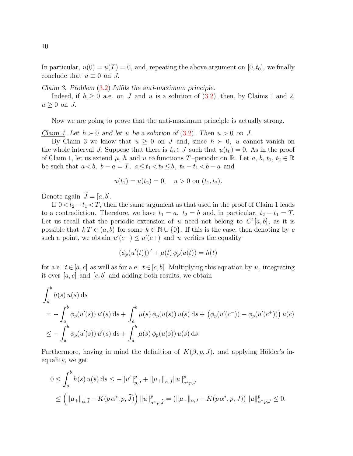In particular,  $u(0) = u(T) = 0$ , and, repeating the above argument on  $[0, t_0]$ , we finally conclude that  $u \equiv 0$  on J.

Claim 3. Problem  $(3.2)$  fulfils the anti-maximum principle.

Indeed, if  $h \geq 0$  a.e. on J and u is a solution of  $(3.2)$ , then, by Claims 1 and 2,  $u > 0$  on J.

Now we are going to prove that the anti-maximum principle is actually strong.

Claim 4. Let  $h \succ 0$  and let u be a solution of [\(3.2\)](#page-6-2). Then  $u > 0$  on J.

By Claim 3 we know that  $u \geq 0$  on J and, since  $h \succ 0$ , u cannot vanish on the whole interval J. Suppose that there is  $t_0 \in J$  such that  $u(t_0) = 0$ . As in the proof of Claim 1, let us extend  $\mu$ , h and u to functions T-periodic on R. Let  $a, b, t_1, t_2 \in \mathbb{R}$ be such that  $a < b$ ,  $b - a = T$ ,  $a \le t_1 < t_2 \le b$ ,  $t_2 - t_1 < b - a$  and

$$
u(t_1) = u(t_2) = 0, \quad u > 0 \text{ on } (t_1, t_2).
$$

Denote again  $\widetilde{J} = [a, b]$ .

If  $0 < t_2 - t_1 < T$ , then the same argument as that used in the proof of Claim 1 leads to a contradiction. Therefore, we have  $t_1 = a$ ,  $t_2 = b$  and, in particular,  $t_2 - t_1 = T$ . Let us recall that the periodic extension of u need not belong to  $C^1[a, b]$ , as it is possible that  $k T \in (a, b)$  for some  $k \in \mathbb{N} \cup \{0\}$ . If this is the case, then denoting by c such a point, we obtain  $u'(c-) \leq u'(c+)$  and u verifies the equality

$$
(\phi_p(u'(t)))' + \mu(t)\,\phi_p(u(t)) = h(t)
$$

for a.e.  $t \in [a, c]$  as well as for a.e.  $t \in [c, b]$ . Multiplying this equation by u, integrating it over [a, c] and  $[c, b]$  and adding both results, we obtain

$$
\int_{a}^{b} h(s) u(s) ds
$$
  
=  $-\int_{a}^{b} \phi_{p}(u'(s)) u'(s) ds + \int_{a}^{b} \mu(s) \phi_{p}(u(s)) u(s) ds + (\phi_{p}(u'(c^{-})) - \phi_{p}(u'(c^{+}))) u(c)$   
 $\leq - \int_{a}^{b} \phi_{p}(u'(s)) u'(s) ds + \int_{a}^{b} \mu(s) \phi_{p}(u(s)) u(s) ds.$ 

Furthermore, having in mind the definition of  $K(\beta, p, J)$ , and applying Hölder's inequality, we get

uality, we get

\n
$$
0 \leq \int_{a}^{b} h(s) u(s) ds \leq -\|u'\|_{p,\tilde{J}}^{p} + \|\mu_{+}\|_{\alpha,\tilde{J}} \|u\|_{\alpha^{*}p,\tilde{J}}^{p}
$$
\n
$$
\leq \left(\|\mu_{+}\|_{\alpha,\tilde{J}} - K(p\alpha^{*}, p, \tilde{J})\right) \|u\|_{\alpha^{*}p,\tilde{J}}^{p} = \left(\|\mu_{+}\|_{\alpha,J} - K(p\alpha^{*}, p, J)\right) \|u\|_{\alpha^{*}p,J}^{p} \leq 0.
$$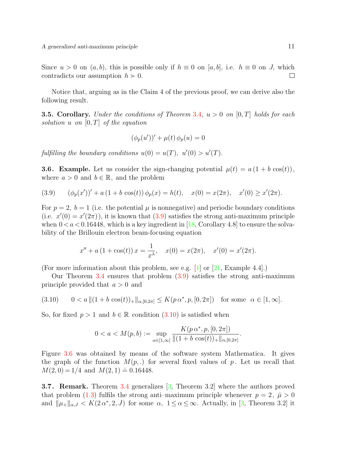Since  $u > 0$  on  $(a, b)$ , this is possible only if  $h \equiv 0$  on  $[a, b]$ , i.e.  $h \equiv 0$  on J, which contradicts our assumption  $h \succ 0$ .  $\Box$ 

Notice that, arguing as in the Claim 4 of the previous proof, we can derive also the following result.

**3.5. Corollary.** Under the conditions of Theorem [3.4](#page-7-4),  $u > 0$  on [0, T] holds for each solution u on  $[0, T]$  of the equation

$$
(\phi_p(u'))' + \mu(t)\,\phi_p(u) = 0
$$

fulfilling the boundary conditions  $u(0) = u(T)$ ,  $u'(0) > u'(T)$ .

**3.6. Example.** Let us consider the sign-changing potential  $\mu(t) = a(1 + b \cos(t)),$ where  $a > 0$  and  $b \in \mathbb{R}$ , and the problem

<span id="page-10-0"></span>(3.9) 
$$
(\phi_p(x'))' + a(1 + b \cos(t)) \phi_p(x) = h(t), \quad x(0) = x(2\pi), \quad x'(0) \ge x'(2\pi).
$$

For  $p = 2$ ,  $b = 1$  (i.e. the potential  $\mu$  is nonnegative) and periodic boundary conditions (i.e.  $x'(0) = x'(2\pi)$ ), it is known that  $(3.9)$  satisfies the strong anti-maximum principle when  $0 < a < 0.16448$ , which is a key ingredient in [\[18,](#page-17-5) Corollary 4.8] to ensure the solvability of the Brillouin electron beam-focusing equation

$$
x'' + a(1 + \cos(t)) x = \frac{1}{x^{\lambda}}, \quad x(0) = x(2\pi), \quad x'(0) = x'(2\pi).
$$

(For more information about this problem, see e.g.  $[1]$  or  $[21,$  Example 4.4.].)

Our Theorem [3.4](#page-7-4) ensures that problem [\(3.9\)](#page-10-0) satisfies the strong anti-maximum principle provided that  $a > 0$  and

<span id="page-10-1"></span>
$$
(3.10) \qquad 0 < a \, \| (1 + b \cos(t))_+ \|_{\alpha, [0, 2\pi]} \leq K(p \, \alpha^*, p, [0, 2\pi]) \quad \text{for some} \quad \alpha \in [1, \infty].
$$

So, for fixed  $p > 1$  and  $b \in \mathbb{R}$  condition  $(3.10)$  is satisfied when

$$
0 < a < M(p, b) := \sup_{\alpha \in [1, \infty]} \frac{K(p \alpha^*, p, [0, 2\pi])}{\|(1 + b \cos(t))_+\|_{\alpha, [0, 2\pi]}}.
$$

Figure [3.6](#page-10-1) was obtained by means of the software system Mathematica. It gives the graph of the function  $M(p,.)$  for several fixed values of p. Let us recall that  $M(2, 0) = 1/4$  and  $M(2, 1) \doteq 0.16448$ .

3.7 . Remark. Theorem [3.4](#page-7-4) generalizes [\[3,](#page-16-4) Theorem 3.2] where the authors proved that problem [\(1.3\)](#page-1-2) fulfils the strong anti-maximum principle whenever  $p = 2$ ,  $\bar{\mu} > 0$ and  $\|\mu_{+}\|_{\alpha,J} < K(2\alpha^*,2,J)$  for some  $\alpha, 1 \leq \alpha \leq \infty$ . Actually, in [\[3,](#page-16-4) Theorem 3.2] it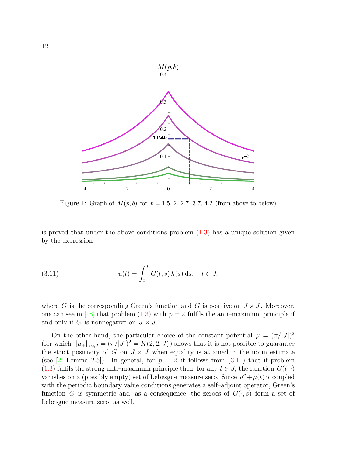

Figure 1: Graph of  $M(p, b)$  for  $p = 1.5, 2, 2.7, 3.7, 4.2$  (from above to below)

is proved that under the above conditions problem  $(1.3)$  has a unique solution given by the expression

<span id="page-11-0"></span>(3.11) 
$$
u(t) = \int_0^T G(t, s) h(s) ds, \quad t \in J,
$$

where G is the corresponding Green's function and G is positive on  $J \times J$ . Moreover, one can see in [\[18\]](#page-17-5) that problem [\(1.3\)](#page-1-2) with  $p = 2$  fulfils the anti-maximum principle if and only if G is nonnegative on  $J \times J$ .

On the other hand, the particular choice of the constant potential  $\mu = (\pi/|J|)^2$ (for which  $\|\mu_{+}\|_{\infty,J} = (\pi/|J|)^2 = K(2, 2, J)$ ) shows that it is not possible to guarantee the strict positivity of G on  $J \times J$  when equality is attained in the norm estimate (see [\[2,](#page-16-1) Lemma 2.5]). In general, for  $p = 2$  it follows from  $(3.11)$  that if problem [\(1.3\)](#page-1-2) fulfils the strong anti–maximum principle then, for any  $t \in J$ , the function  $G(t, \cdot)$ vanishes on a (possibly empty) set of Lebesgue measure zero. Since  $u'' + \mu(t) u$  coupled with the periodic boundary value conditions generates a self–adjoint operator, Green's function G is symmetric and, as a consequence, the zeroes of  $G(\cdot, s)$  form a set of Lebesgue measure zero, as well.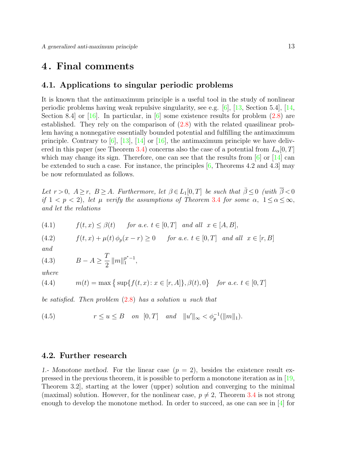### 4 . Final comments

### 4.1. Applications to singular periodic problems

It is known that the antimaximum principle is a useful tool in the study of nonlinear periodic problems having weak repulsive singularity, see e.g. [\[6\]](#page-16-3), [\[13,](#page-16-8) Section 5.4], [\[14,](#page-17-7) Section 8.4 or  $[16]$ . In particular, in  $[6]$  some existence results for problem  $(2.8)$  are established. They rely on the comparison of [\(2.8\)](#page-5-1) with the related quasilinear problem having a nonnegative essentially bounded potential and fulfilling the antimaximum principle. Contrary to  $[6]$ ,  $[13]$ ,  $[14]$  or  $[16]$ , the antimaximum principle we have deliv-ered in this paper (see Theorem [3.4\)](#page-7-4) concerns also the case of a potential from  $L_{\alpha}[0,T]$ which may change its sign. Therefore, one can see that the results from  $\lceil 6 \rceil$  or  $\lceil 14 \rceil$  can be extended to such a case. For instance, the principles  $[6,$  Theorems 4.2 and 4.3] may be now reformulated as follows.

Let  $r > 0$ ,  $A \ge r$ ,  $B \ge A$ . Furthermore, let  $\beta \in L_1[0,T]$  be such that  $\overline{\beta} \le 0$  (with  $\overline{\beta} < 0$ if  $1 < p < 2$ , let  $\mu$  verify the assumptions of Theorem [3.4](#page-7-4) for some  $\alpha$ ,  $1 \le \alpha \le \infty$ , and let the relations

(4.1) 
$$
f(t,x) \leq \beta(t) \quad \text{for a.e. } t \in [0,T] \text{ and all } x \in [A,B],
$$

(4.2)  $f(t, x) + \mu(t) \phi_p(x - r) \ge 0$  for a.e.  $t \in [0, T]$  and all  $x \in [r, B]$ 

and

(4.3) 
$$
B - A \geq \frac{T}{2} ||m||_1^{p^*-1},
$$

where

(4.4) 
$$
m(t) = \max\left\{\sup\{f(t, x) : x \in [r, A]\}, \beta(t), 0\right\} \text{ for a.e. } t \in [0, T]
$$

be satisfied. Then problem  $(2.8)$  $(2.8)$  has a solution u such that

(4.5) 
$$
r \le u \le B
$$
 on  $[0, T]$  and  $||u'||_{\infty} < \phi_p^{-1}(||m||_1)$ .

### 4.2. Further research

1.- Monotone method. For the linear case  $(p = 2)$ , besides the existence result expressed in the previous theorem, it is possible to perform a monotone iteration as in [\[19,](#page-17-0) Theorem 3.2], starting at the lower (upper) solution and converging to the minimal (maximal) solution. However, for the nonlinear case,  $p \neq 2$ , Theorem [3.4](#page-7-4) is not strong enough to develop the monotone method. In order to succeed, as one can see in [\[4\]](#page-16-9) for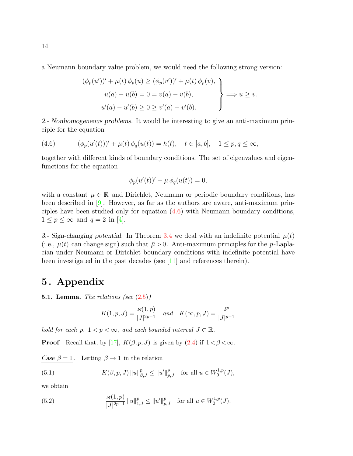a Neumann boundary value problem, we would need the following strong version:

$$
(\phi_p(u'))' + \mu(t)\phi_p(u) \ge (\phi_p(v'))' + \mu(t)\phi_p(v),
$$
  
\n
$$
u(a) - u(b) = 0 = v(a) - v(b),
$$
  
\n
$$
u'(a) - u'(b) \ge 0 \ge v'(a) - v'(b).
$$

2.- Nonhomogeneous problems. It would be interesting to give an anti-maximum principle for the equation

<span id="page-13-1"></span>(4.6) 
$$
(\phi_p(u'(t)))' + \mu(t)\phi_q(u(t)) = h(t), \quad t \in [a, b], \quad 1 \le p, q \le \infty,
$$

together with different kinds of boundary conditions. The set of eigenvalues and eigenfunctions for the equation

$$
\phi_p(u'(t))' + \mu \phi_q(u(t)) = 0,
$$

with a constant  $\mu \in \mathbb{R}$  and Dirichlet, Neumann or periodic boundary conditions, has been described in [\[9\]](#page-16-5). However, as far as the authors are aware, anti-maximum principles have been studied only for equation [\(4.6\)](#page-13-1) with Neumann boundary conditions,  $1 \leq p \leq \infty$  and  $q = 2$  in [\[4\]](#page-16-9).

3.- Sign-changing potential. In Theorem [3.4](#page-7-4) we deal with an indefinite potential  $\mu(t)$ (i.e.,  $\mu(t)$  can change sign) such that  $\bar{\mu} > 0$ . Anti-maximum principles for the p-Laplacian under Neumann or Dirichlet boundary conditions with indefinite potential have been investigated in the past decades (see [\[11\]](#page-16-10) and references therein).

# 5 . Appendix

<span id="page-13-0"></span>5.1. Lemma. The relations (see  $(2.5)$ )

$$
K(1,p,J)=\frac{\varkappa(1,p)}{|J|^{2p-1}}\quad and\quad K(\infty,p,J)=\frac{2^p}{|J|^{p-1}}
$$

hold for each p,  $1 < p < \infty$ , and each bounded interval  $J \subset \mathbb{R}$ .

**Proof.** Recall that, by [\[17\]](#page-17-2),  $K(\beta, p, J)$  is given by [\(2.4\)](#page-4-2) if  $1 < \beta < \infty$ .

Case  $\beta = 1$ . Letting  $\beta \rightarrow 1$  in the relation

<span id="page-13-3"></span>(5.1) 
$$
K(\beta, p, J) \|u\|_{\beta, J}^p \leq \|u'\|_{p, J}^p \quad \text{for all } u \in W_0^{1, p}(J),
$$

we obtain

<span id="page-13-2"></span>(5.2) 
$$
\frac{\varkappa(1,p)}{|J|^{2p-1}}\|u\|_{1,J}^p \le \|u'\|_{p,J}^p \quad \text{for all } u \in W_0^{1,p}(J).
$$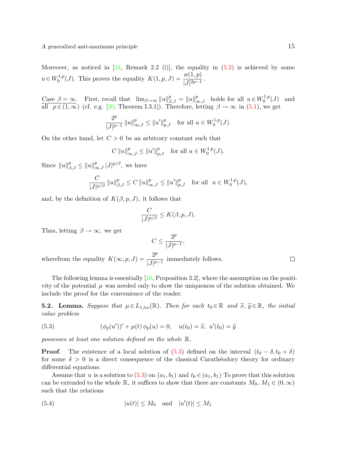Moreover, as noticed in  $[24,$  Remark 2.2 (i)], the equality in  $(5.2)$  is achieved by some  $u \in W_0^{1,p}$ <sup>1,p</sup>(J). This proves the equality  $K(1, p, J) = \frac{\varkappa(1, p)}{|J|^{2p-1}}$ .

Case  $\beta = \infty$ . First, recall that  $\lim_{\beta \to \infty} ||u||_{\beta,J}^p = ||u||_{\infty,J}^p$  holds for all  $u \in W_0^{1,p}$  $\binom{1,p}{0}(J)$  and all  $p \in (1,\infty)$  (cf. e.g. [\[20,](#page-17-9) Theorem I.3.1]). Therefore, letting  $\beta \to \infty$  in [\(5.1\)](#page-13-3), we get

$$
\frac{2^p}{|J|^{p-1}}\,\|u\|^p_{\infty,J}\leq \|u'\|^p_{p,J}\quad\text{for all }u\in W^{1,p}_0(J).
$$

On the other hand, let  $C > 0$  be an arbitrary constant such that

$$
C \|u\|_{\infty,J}^p \le \|u'\|_{p,J}^p \quad \text{for all } u \in W_0^{1,p}(J).
$$

Since  $||u||_{\beta,J}^p \le ||u||_{\infty,J}^p |J|^{p/\beta}$ , we have

$$
\frac{C}{|J|^{p/\beta}} \, \|u\|_{\beta,J}^p \le C \, \|u\|_{\infty,J}^p \le \|u'\|_{p,J}^p \quad \text{for all} \ \ u \in W_0^{1,p}(J),
$$

and, by the definition of  $K(\beta, p, J)$ , it follows that

$$
\frac{C}{|J|^{p/\beta}} \le K(\beta, p, J).
$$

Thus, letting  $\beta \to \infty$ , we get

$$
C\leq \frac{2^p}{|J|^{p-1}},
$$

wherefrom the equality  $K(\infty, p, J) = \frac{2^p}{|I|}$  $\frac{2}{|J|^{p-1}}$  immediately follows.

The following lemma is essentially  $[10,$  Proposition 3.2, where the assumption on the positivity of the potential  $\mu$  was needed only to show the uniqueness of the solution obtained. We include the proof for the convenience of the reader.

<span id="page-14-0"></span>**5.2. Lemma.** Suppose that  $\mu \in L_{1,loc}(\mathbb{R})$ . Then for each  $t_0 \in \mathbb{R}$  and  $\widetilde{x}, \widetilde{y} \in \mathbb{R}$ , the initial value problem

<span id="page-14-1"></span>(5.3) 
$$
(\phi_p(u'))' + \mu(t)\,\phi_p(u) = 0, \quad u(t_0) = \tilde{x}, \ u'(t_0) = \tilde{y}
$$

possesses at least one solution defined on the whole R.

**Proof.** The existence of a local solution of  $(5.3)$  defined on the interval  $(t_0 - \delta, t_0 + \delta)$ for some  $\delta > 0$  is a direct consequence of the classical Carathéodory theory for ordinary differential equations.

Assume that u is a solution to  $(5.3)$  on  $(a_1, b_1)$  and  $t_0 \in (a_1, b_1)$  To prove that this solution can be extended to the whole R, it suffices to show that there are constants  $M_0, M_1 \in (0, \infty)$ such that the relations

<span id="page-14-2"></span>(5.4) 
$$
|u(t)| \le M_0
$$
 and  $|u'(t)| \le M_1$ 

 $\Box$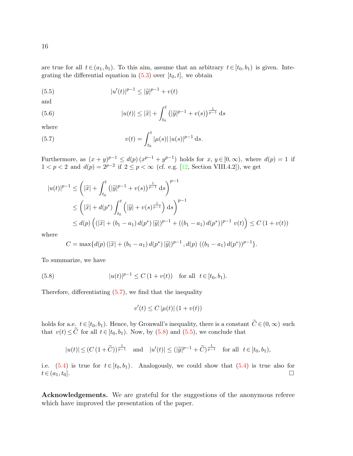are true for all  $t \in (a_1, b_1)$ . To this aim, assume that an arbitrary  $t \in [t_0, b_1)$  is given. Integrating the differential equation in  $(5.3)$  over  $[t_0, t]$ , we obtain

<span id="page-15-2"></span>(5.5) 
$$
|u'(t)|^{p-1} \le |\tilde{y}|^{p-1} + v(t)
$$

and

16

(5.6) 
$$
|u(t)| \leq |\widetilde{x}| + \int_{t_0}^t (|\widetilde{y}|^{p-1} + v(s))^{\frac{1}{p-1}} ds
$$

where

<span id="page-15-0"></span>(5.7) 
$$
v(t) = \int_{t_0}^t |\mu(s)| |u(s)|^{p-1} ds.
$$

Furthermore, as  $(x+y)^{p-1} \leq d(p) (x^{p-1}+y^{p-1})$  holds for  $x, y \in [0, \infty)$ , where  $d(p) = 1$  if  $1 < p < 2$  and  $d(p) = 2^{p-2}$  if  $2 \le p < \infty$  (cf. e.g. [\[12,](#page-16-12) Section VIII.4.2]), we get

$$
|u(t)|^{p-1} \leq \left(|\widetilde{x}| + \int_{t_0}^t \left(|\widetilde{y}|^{p-1} + v(s)\right)^{\frac{1}{p-1}} ds\right)^{p-1}
$$
  
\n
$$
\leq \left(|\widetilde{x}| + d(p^*) \int_{t_0}^t \left(|\widetilde{y}| + v(s)^{\frac{1}{p-1}}\right) ds\right)^{p-1}
$$
  
\n
$$
\leq d(p) \left(\left(|\widetilde{x}| + (b_1 - a_1) d(p^*)\right) |\widetilde{y}| \right)^{p-1} + \left((b_1 - a_1) d(p^*)\right)^{p-1} v(t)\right) \leq C \left(1 + v(t)\right)
$$

where

$$
C = \max\{d(p) \left(|\widetilde{x}| + (b_1 - a_1) d(p^*) |\widetilde{y}|\right)^{p-1}, d(p) \left((b_1 - a_1) d(p^*)\right)^{p-1}\}.
$$

To summarize, we have

(5.8) 
$$
|u(t)|^{p-1} \le C (1 + v(t)) \text{ for all } t \in [t_0, b_1).
$$

Therefore, differentiating  $(5.7)$ , we find that the inequality

<span id="page-15-1"></span>
$$
v'(t) \le C \left| \mu(t) \right| (1 + v(t))
$$

holds for a.e.  $t \in [t_0, b_1)$ . Hence, by Gronwall's inequality, there is a constant  $C \in (0, \infty)$  such that  $v(t) \le C$  for all  $t \in [t_0, b_1)$ . Now, by [\(5.8\)](#page-15-1) and [\(5.5\)](#page-15-2), we conclude that

$$
|u(t)| \le (C (1 + \widetilde{C}))^{\frac{1}{p-1}}
$$
 and  $|u'(t)| \le (|\widetilde{y}|^{p-1} + \widetilde{C})^{\frac{1}{p-1}}$  for all  $t \in [t_0, b_1)$ ,

i.e. [\(5.4\)](#page-14-2) is true for  $t \in [t_0, b_1)$ . Analogously, we could show that (5.4) is true also for  $t \in (a_1, t_0].$ 

Acknowledgements. We are grateful for the suggestions of the anonymous referee which have improved the presentation of the paper.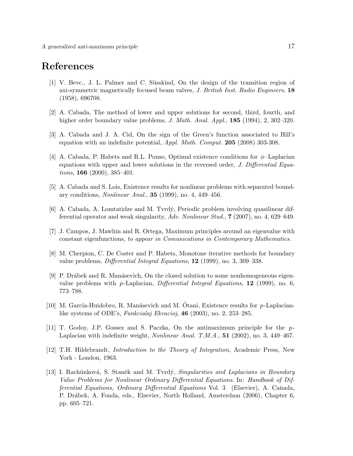# References

- <span id="page-16-7"></span>[1] V. Bevc., J. L. Palmer and C. Süsskind, On the design of the transition region of axi-symmetric magnetically focused beam valves, J. British Inst. Radio Engineers, 18 (1958), 696708.
- <span id="page-16-1"></span>[2] A. Cabada, The method of lower and upper solutions for second, third, fourth, and higher order boundary value problems, J. Math. Anal. Appl., 185 (1994), 2, 302–320.
- <span id="page-16-4"></span>[3] A. Cabada and J. A. Cid, On the sign of the Green's function associated to Hill's equation with an indefinite potential, Appl. Math. Comput. 205 (2008) 303-308.
- <span id="page-16-9"></span>[4] A. Cabada, P. Habets and R.L. Pouso, Optimal existence conditions for  $\phi$ -Laplacian equations with upper and lower solutions in the reversed order, J. Differential Equations, 166 (2000), 385–401.
- <span id="page-16-0"></span>[5] A. Cabada and S. Lois, Existence results for nonlinear problems with separated boundary conditions, Nonlinear Anal., 35 (1999), no. 4, 449–456.
- <span id="page-16-3"></span>[6] A. Cabada, A. Lomtatidze and M. Tvrd´y, Periodic problem involving quasilinear differential operator and weak singularity, Adv. Nonlinear Stud., 7 (2007), no. 4, 629–649.
- <span id="page-16-2"></span>[7] J. Campos, J. Mawhin and R. Ortega, Maximum principles around an eigenvalue with constant eigenfunctions, to appear in Comunications in Contemporary Mathematics.
- <span id="page-16-6"></span>[8] M. Cherpion, C. De Coster and P. Habets, Monotone iterative methods for boundary value problems, Differential Integral Equations, 12 (1999), no. 3, 309–338.
- <span id="page-16-5"></span>[9] P. Drábek and R. Manásevich, On the closed solution to some nonhomogeneous eigenvalue problems with p-Laplacian, Differential Integral Equations,  $12$  (1999), no. 6, 773–788.
- <span id="page-16-11"></span>[10] M. García-Huidobro, R. Manásevich and M. Otani, Existence results for  $p$ -Laplacianlike systems of ODE's, Funkcialaj Ekvacioj, 46 (2003), no. 2, 253–285.
- <span id="page-16-10"></span>[11] T. Godoy, J.P. Gossez and S. Paczka, On the antimaximum principle for the p-Laplacian with indefinite weight, Nonlinear Anal. T.M.A., 51 (2002), no. 3, 449–467.
- <span id="page-16-12"></span>[12] T.H. Hildebrandt, Introduction to the Theory of Integration, Academic Press, New York - London, 1963.
- <span id="page-16-8"></span>[13] I. Rachůnková, S. Staněk and M. Tvrdý, *Singularities and Laplacians in Boundary* Value Problems for Nonlinear Ordinary Differential Equations. In: Handbook of Dif $ferential Equations, Ordinary Differential Equations Vol. 3 (Elsevier), A. Cañada,$ P. Drábek, A. Fonda, eds., Elsevier, North Holland, Amsterdam (2006), Chapter 6, pp. 605–721.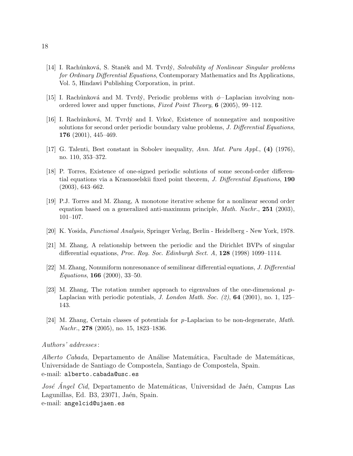- <span id="page-17-7"></span>[14] I. Rachůnková, S. Staněk and M. Tvrdý, Solvability of Nonlinear Singular problems for Ordinary Differential Equations, Contemporary Mathematics and Its Applications, Vol. 5, Hindawi Publishing Corporation, in print.
- [15] I. Rachůnková and M. Tvrdý, Periodic problems with  $\phi$  Laplacian involving nonordered lower and upper functions, Fixed Point Theory, 6 (2005), 99–112.
- <span id="page-17-8"></span>[16] I. Rachůnková, M. Tvrdý and I. Vrkoč, Existence of nonnegative and nonpositive solutions for second order periodic boundary value problems, J. Differential Equations, 176 (2001), 445–469.
- <span id="page-17-2"></span>[17] G. Talenti, Best constant in Sobolev inequality, Ann. Mat. Pura Appl., (4) (1976), no. 110, 353–372.
- <span id="page-17-5"></span>[18] P. Torres, Existence of one-signed periodic solutions of some second-order differential equations via a Krasnoselskii fixed point theorem, J. Differential Equations, 190 (2003), 643–662.
- <span id="page-17-0"></span>[19] P.J. Torres and M. Zhang, A monotone iterative scheme for a nonlinear second order equation based on a generalized anti-maximum principle, *Math. Nachr.*, **251** (2003), 101–107.
- <span id="page-17-9"></span>[20] K. Yosida, Functional Analysis, Springer Verlag, Berlin - Heidelberg - New York, 1978.
- <span id="page-17-6"></span>[21] M. Zhang, A relationship between the periodic and the Dirichlet BVPs of singular differential equations, Proc. Roy. Soc. Edinburgh Sect. A, 128 (1998) 1099–1114.
- <span id="page-17-3"></span>[22] M. Zhang, Nonuniform nonresonance of semilinear differential equations, J. Differential Equations, 166 (2000), 33–50.
- <span id="page-17-1"></span>[23] M. Zhang, The rotation number approach to eigenvalues of the one-dimensional p-Laplacian with periodic potentials, *J. London Math. Soc.* (2), **64** (2001), no. 1, 125– 143.
- <span id="page-17-4"></span>[24] M. Zhang, Certain classes of potentials for p-Laplacian to be non-degenerate, Math. Nachr., **278** (2005), no. 15, 1823–1836.

#### Authors' addresses :

Alberto Cabada, Departamento de Análise Matemática, Facultade de Matemáticas, Universidade de Santiago de Compostela, Santiago de Compostela, Spain. e-mail: alberto.cabada@usc.es

José Angel Cid, Departamento de Matemáticas, Universidad de Jaén, Campus Las Lagunillas, Ed. B3, 23071, Jaén, Spain. e-mail: angelcid@ujaen.es